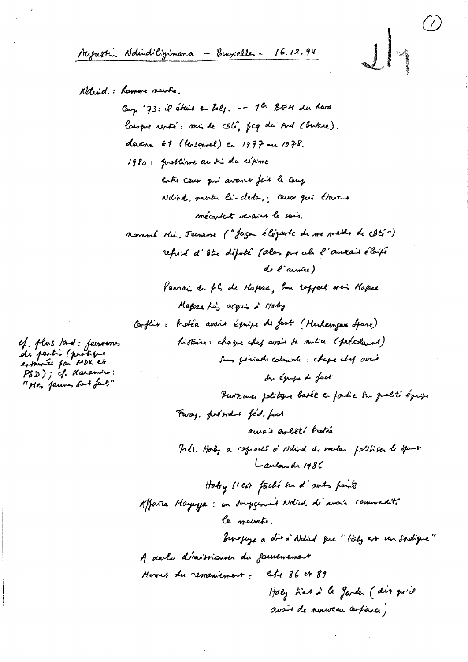Augustin Ndindiligimana - Burxelles - 16.12.94

National: Lowere newhe.

Camp '73: il étais en Belg. -- 1 ch BEM du Rua largue renté: min de côté, fcg du sud (Butare). devenu 61 (lersonnel) en 1977 ou 1978. 1980: problime au di du répime entre ceux qui avance fais le couz Ndird, rentre là-cleden; ceux qui étares mécartat varaint le sais. novemé Hin, Jeenene ("Jagen élézarte de me mette de côté") refusé d'être député (ales precels l'auxais élaisé de l'armée) Parrai du pl, de Hapsa, bon rofpert n'es Hapee Magera his acquis à Holy. Conflix: Profée avair équipe de pot (Mukampur Spart) Listaire: chaque chez avais da mulia (précelaired) for finish colonials : chape chef aver der éguipe de fast Purisme politique basée en faitre sur qualité éprise Furay. prend fed. food aurais exbêté hotée Prés. Hody a reprenté à Ndird. de modais politiser le spanse Lautonde 1986 Hoby sich faché un d'auts points Affaire Mayuya : on douggement Nation di avoir commediti le mainte. burgeys a die à Ndied que "Italy est un sadique" A voulu d'imissionner du fourement Homes du remeniement: lete 86 et 89 Haly hier à le garder (dir qu'il avait de nouveau arfaice)

ef. plus tand: jeunomes<br>de partis (protique<br>astomée fan MDK ek PSD); if Karamiro: "He jeures fort fat"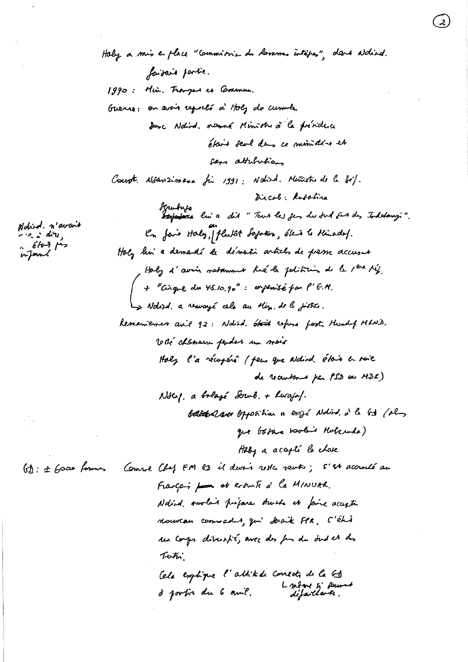Haby a mis en place "commissions du Commes intépas" dans addied. faisais partie. 1990: Min. Fromper et Commun. Guerre: on avoir reports à Holy de cumule. Donc Nolind. nommé Ministre à la présidence était sevel dans ce ministére et four attributions Court. Notanzimana fi 1991; Nohird. Ministrade la féf. Dircol: Rusatina Scrubuja<br>Desposanza lui a dit "Tour las fen du sud fat des Indetanzi". En fais Haly, plutat Sapotion, éleis le Minadel. Holy him a demandé de dématir articles de presse accusat Holy d'avin natamme tié la polition de la 1ere 14.  $+$  "Gigue du 45.10.90" : orphrisé far l'E.M. Is Nolifed. a reavagé cela au Min. de le joistre. Remainement avid 92: Nobid. Of the refuse fort theody Mhaid. With chancem parder in mais Holy l'a récupéré ( peur que aldid. étair a voie de recruter et par PSD ou MDR) Notel, a bolazí Serub. + Rwajo/. battle aver opposition a exist Notived a la Gd (ol) que botare vobre Hobernda) Haby a accepté la chose Comme Chef FM 63 il devoir rosta vente; 5'st accredé au  $f_n : t \rightarrow \infty$ Français pour et evenute à la MINUAR. Ndied , nortain projour structs in faire accepter Mourcan commadit, qui serait FPR. C'été un corgs diversit, avec des for du did et des Tota. Cela explique l'attitude connecte de la G Londone si permat à portir du 6 avril.

Nobird. n'avait  $-2$  dire.  $\epsilon$ ford for nJomé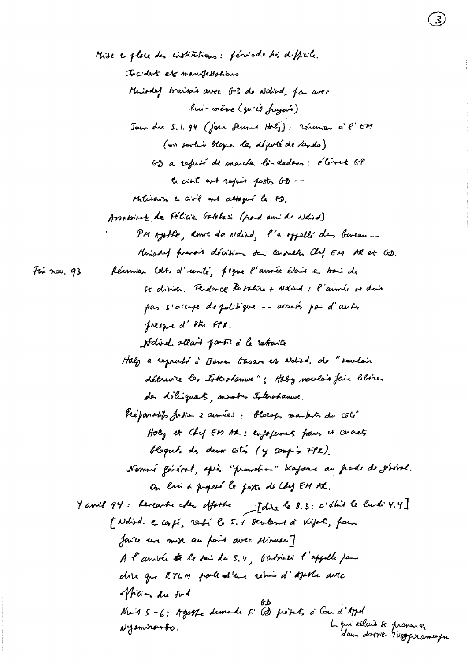the explace des cistitutions: fériode his difficile. Incident etc manufestations Miniaded traina's avec G-3 de aldied, far avec hi-même (qu'il fragais) Journale 5.1.94 (join Sermes Holy): réservier à l'EM (on partie blogue les député de lands) GD a refusé de marcha là-dedans: élémet GP a cint and rejoin posts GD --Militaires e civil est attopré la FD. Arraminate de Félicie batchesi (pad amid aldied) PM Ajothe, anne de Ndind, l'a offellé den boneau ... Minisoned prevait décisions den consulta Chef EM AR et GD. Réunnian Cats d'unité, figure l'aussée était en trai de Fin nov.  $93$ Se diviser. Tendance Rubohira + Nalind : l'aumée se dois pas s'occupe de politique -- accuts par d'autre presque d'être FTX. Ndird. allait parti à la retraite Haly a reproble à Daves Gasare et adied. de "vouloir détruire les Istratement : Haby noulais fair l'hôre. des déliguats, membres totorohamme. Préparabits fusion 2 avenues : blocap, mantent du côté Holy et Chy EM AR : exposements from it cornects bloqués des deux côtés (y confin FPK). Nommé général, après "promotion" blojane au pade de jéréral. on evi a proposé le poste de Chez EM AK. y avril 94: Reveanter cher offorte [dira le 8.3: c'éluis le livre 4.4] [Ndird. e. carpé, rati le 5.4 sevens à Kipet, pour faire un miss au pais avec Misuart A l'arrivée te le sai du 5.4, Gabrier l'appelle pau dire que ATLM parlealien rein d'Ajeste auto officen du sud Nuit 5 - 6: Agethe demade 5 60 piets à Cound'April L qui allais se provance.<br>dans dottes Tuggeramupu Nyaniranto.

 $\mathcal{Z}$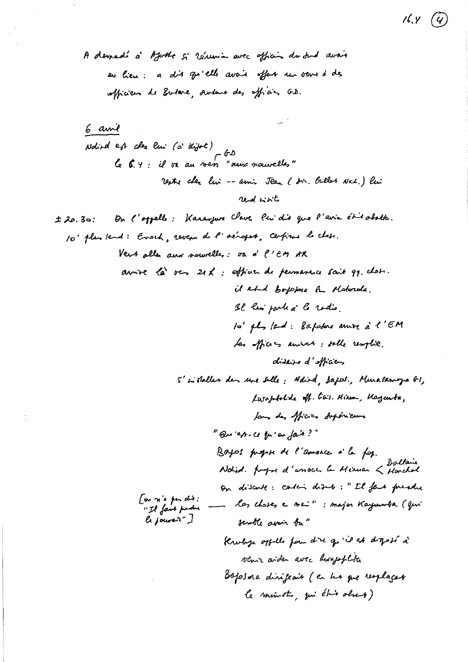A demedi à Ajuste si résemin avec afficir du sur avoir en lieu : a dis qu'elle avaie offert un veux à de officien de Eutere, Autour des officies G.D.

 $16.4(4)$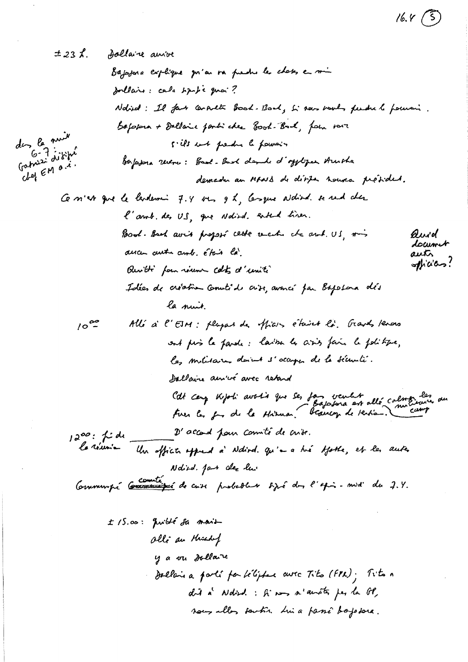$16.4$  (5)

 $\hat{\mathcal{A}}$ 

 $\frac{1}{2}$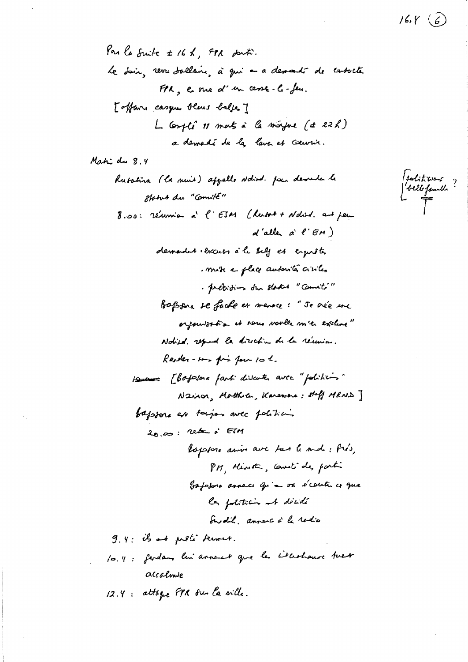## $16.4 \; (\hat{6})$

Par la Suite ± 16 h, FPR duti. Le dain, revu doclaire, à qui a a demandr de cabacte FPR, ene d'un cesse-le-feu. [offame casque blens belges] L Compti 11 mats à la majore (± 22h) a demadé de la lava et couvrir.

Mahi du 8.4

Solitions ?<br>belle family ?<br>T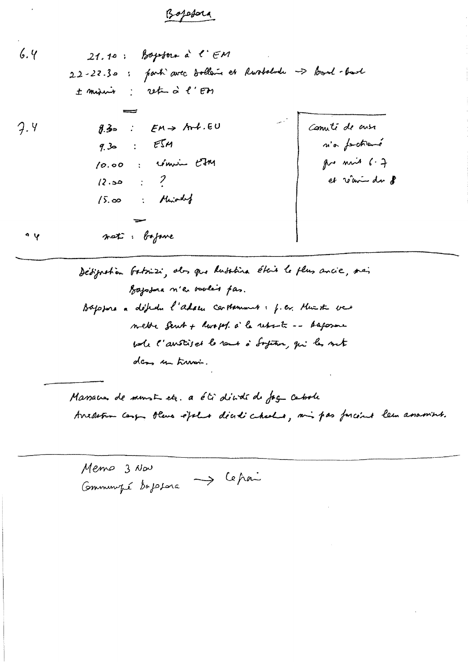## Bojefora

 $6.4$  $21.10$ : Boyston à l'EM 22-22.30: parti avec bollers et Rusbelode -> food-bart ± misis: rete à l'Et  $\therefore$  EM > Art.EU Cometi de cusa  $9.4$  $8.3$ n'a forthané  $9.30 : E514$ give min  $6.7$ 10.00 : commin Em et réceive du 8  $(2.50 \div 2)$  $15.00$  : Miniarchy not : bajone  $\gamma$   $\circ$ 

> Dédignation batrissi, als que lusativa étais le plus ancie, mai Bajodna n'en voules pas. Bajopore a défedu l'adacu carthement: f.c. Muzik ver mette Sent + Russel. à la reporte -- Ausson whe l'austised to reme à Soften, qui les suit dens un trussi.

Massacres de munste etc. a été dividé de fag censole Ancoletion camp, there expelses dicedi checks, and pas forceive lem assamint.

Memo 3 Nov  $\rightarrow$  Cepai Communité depelora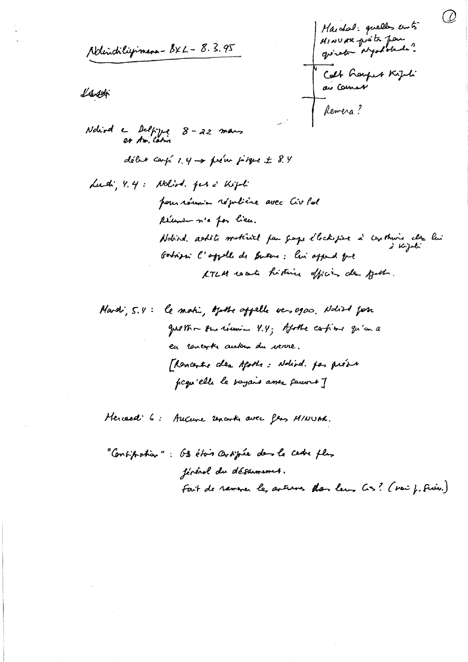Ndindiligimens - 8x L - 8.3.95

Land

Marchal: quelles cuts MINUAR proite for goinet depotated. Colt Gerfert Kipti -<br>Remera?

 $\partial$ 

Nohird en Delfigue 8-22 mars délux carpé  $1, 4 \rightarrow$  prém pirque  $\pm$  8.4 Ludi, Y. 4: Nolind. per à Kipti pour récever républice avec Civ les Récentement a for lieu. Nobind askets methind for grape electropie à continue cler lin d Kejali Godinari l'appelle de Sutere: lui appeal que KTLM rack historic offices de gut.

Hercard: 6: Aucune uncorte avec few MINUAC.

"Consignation": OB étois consiguée demmele cedre plus févérol du désarmement. Fait de rammer les avenues dan leur Cos? (voi f. Fries.)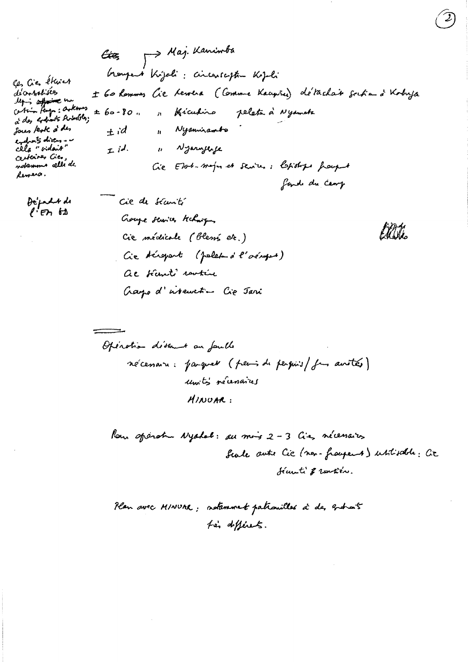Aaj. Kaninba Ctez George i Kijeli : circareciptin Kijeli Ces Cies étuies decorratives ± 60 Rommes Cie Lewera (Comme Kacyña) détachair scrita à Kobuja legis affaire une de la contexte de la partir de la partir de la partir de la partir de la partir de la partir de la partir de la partir de la partir de la partir de la partir de la partir de la partir de la partir de la p  $±60-80.$ Kiculino pelata à Nyameta  $\mathbf{A}$ Sous kok à des 11 Nyanniambo  $+i$ endon's divers .. 11 Njarnjerje cela "vidait  $L/d$ certaines Cies, ndammo celli de Cie Elot-major et sentes: Chistops fraught Remess. fand du camp Cie de sécurité Depart de  $l'$  en  $\omega$ Goupe services techniques Ellia. Cie médicale (blens etc.)

Cie téroport (polet à l'oéropot)

ac tienti sentin

Gaye d'interestion Cie Jari Openation disemnent an fault

récenare: parquet (peris de perquis/ fai avoités) units recessares  $MIDOAR:$ 

Now sparature Nyalal: su mois 2-3 Cie, nécessairs Scale auto Cic (non-frangement) ustisable: Cit Sécurti & rentière.

Plan avec MINUAR; notemment patroxilles à de, granais for differents.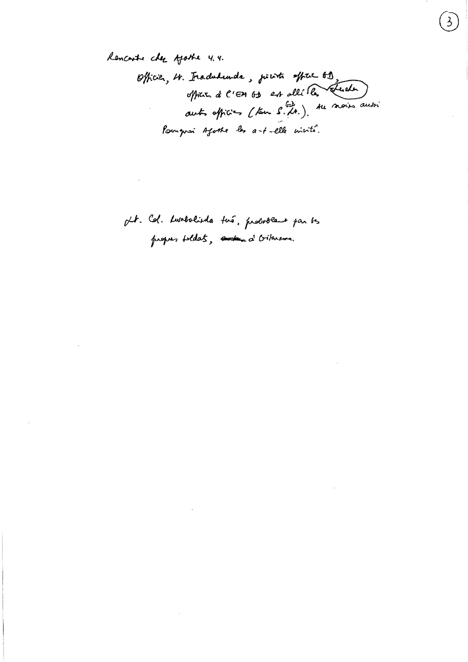Renconte che Ajothe 4.4. Officier, 4. Fraducturale, point affrec 69.<br>officier à l'EM 63 est alléle. Treater Pomprai Afoste les a-t-elle crisité.

pt. Col. Lumbolida two, proboble par ts proper boldats, ander a bitmann.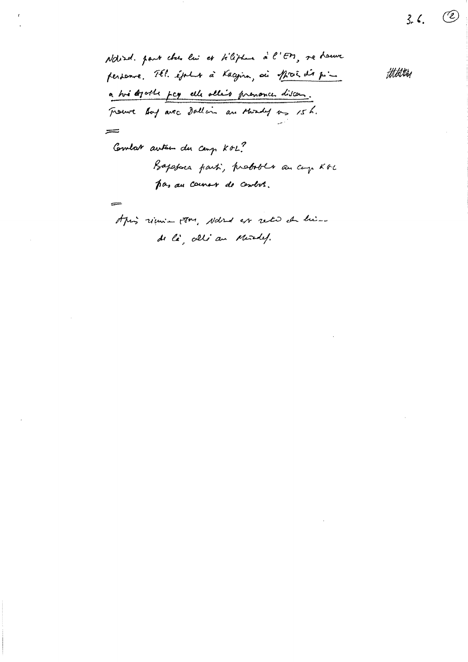Notired. part class liv et tiliples à l'EM, ne houve ttilitten personne. Tél. époler à Kacyina, ai prot dir pin a hvi agoste pcg elle allis prenonce discen. Trouve boy are dollars are should as 15h. = Comlat autom du camp KOL? Bapasara parti, probable an cap Kol pas an country de centre.  $\sim$ Aping rimin poor, Nated as rete de himde là, alli au Murdel.

 $\circled{\mathcal{C}}$ 

 $3.6.$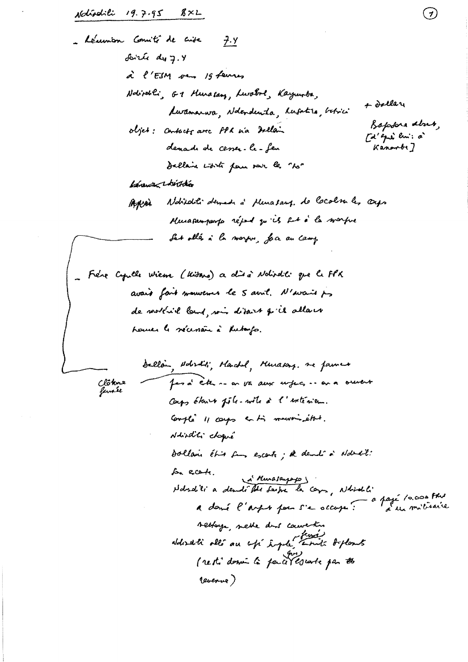Notischili 19.7.95 8xL

 $\mathcal{L}$ 

 $\odot$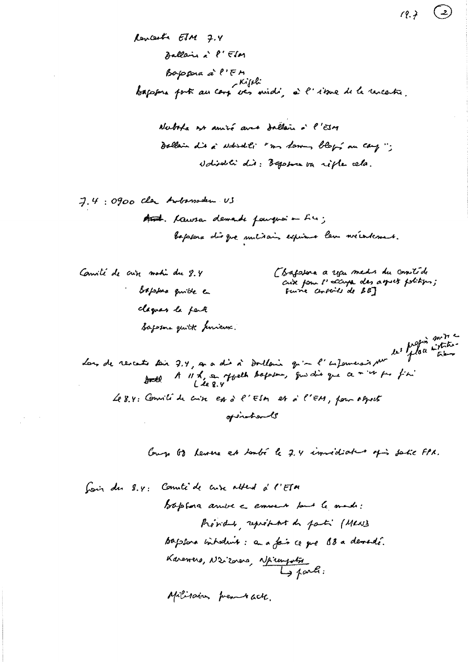$7.4:0900$  clar Anbassaden US

Canité de crise motio du 8.4 · Soppose quible a claques la parte Saperne quitte primiers. (Bassiona a usu medis du contéde cuix four l'accupa des agres folitions;<br>Fuire corpoils de 88]

 $(9.7)$ 

 $\left( \begin{array}{c} 2 \end{array} \right)$ 

Lon de revents soir 3.4, a a dis à Doullain qu'a l'enformerais par les fils de interes Le 8.4: Consili de crise est à l'ESM et à l'EM, pour aspect opentionly

Cough 68 heures et toubé le 2.4 immediate of sale FPR.

Militain premback.